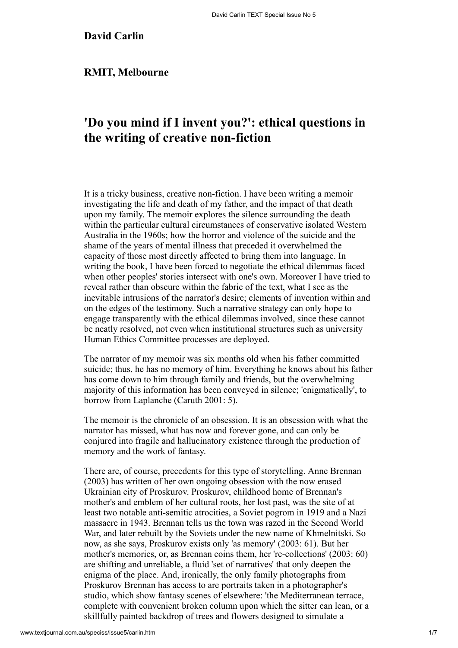# **David Carlin**

## **RMIT, Melbourne**

# **'Do you mind if I invent you?': ethical questions in the writing of creative non-fiction**

It is a tricky business, creative non-fiction. I have been writing a memoir investigating the life and death of my father, and the impact of that death upon my family. The memoir explores the silence surrounding the death within the particular cultural circumstances of conservative isolated Western Australia in the 1960s; how the horror and violence of the suicide and the shame of the years of mental illness that preceded it overwhelmed the capacity of those most directly affected to bring them into language. In writing the book, I have been forced to negotiate the ethical dilemmas faced when other peoples' stories intersect with one's own. Moreover I have tried to reveal rather than obscure within the fabric of the text, what I see as the inevitable intrusions of the narrator's desire; elements of invention within and on the edges of the testimony. Such a narrative strategy can only hope to engage transparently with the ethical dilemmas involved, since these cannot be neatly resolved, not even when institutional structures such as university Human Ethics Committee processes are deployed.

<span id="page-0-1"></span>The narrator of my memoir was six months old when his father committed suicide; thus, he has no memory of him. Everything he knows about his father has come down to him through family and friends, but the overwhelming majority of this information has been conveyed in silence; 'enigmatically', to borrow from Laplanche [\(Caruth 2001: 5](#page-6-0)).

<span id="page-0-0"></span>The memoir is the chronicle of an obsession. It is an obsession with what the narrator has missed, what has now and forever gone, and can only be conjured into fragile and hallucinatory existence through the production of memory and the work of fantasy.

[There are, of course, precedents for this type of storytelling. Anne Brennan](#page-6-1) (2003) has written of her own ongoing obsession with the now erased Ukrainian city of Proskurov. Proskurov, childhood home of Brennan's mother's and emblem of her cultural roots, her lost past, was the site of at least two notable anti-semitic atrocities, a Soviet pogrom in 1919 and a Nazi massacre in 1943. Brennan tells us the town was razed in the Second World War, and later rebuilt by the Soviets under the new name of Khmelnitski. So now, as she says, Proskurov exists only 'as memory' (2003: 61). But her mother's memories, or, as Brennan coins them, her 're-collections' (2003: 60) are shifting and unreliable, a fluid 'set of narratives' that only deepen the enigma of the place. And, ironically, the only family photographs from Proskurov Brennan has access to are portraits taken in a photographer's studio, which show fantasy scenes of elsewhere: 'the Mediterranean terrace, complete with convenient broken column upon which the sitter can lean, or a skillfully painted backdrop of trees and flowers designed to simulate a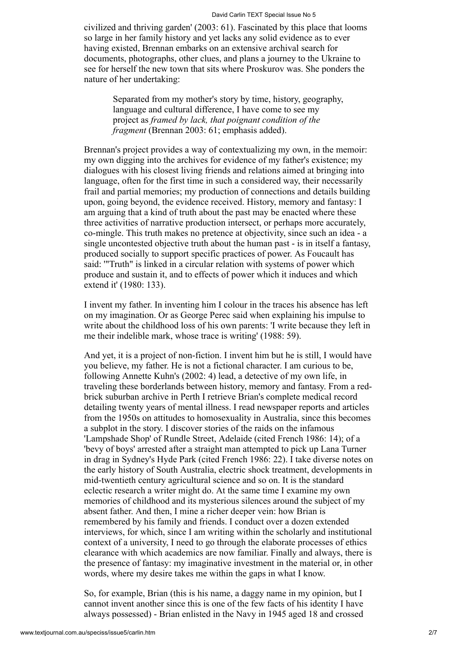civilized and thriving garden' (2003: 61). Fascinated by this place that looms so large in her family history and yet lacks any solid evidence as to ever having existed, Brennan embarks on an extensive archival search for documents, photographs, other clues, and plans a journey to the Ukraine to see for herself the new town that sits where Proskurov was. She ponders the nature of her undertaking:

Separated from my mother's story by time, history, geography, language and cultural difference, I have come to see my project as *framed by lack, that poignant condition of the fragment* (Brennan 2003: 61; emphasis added).

Brennan's project provides a way of contextualizing my own, in the memoir: my own digging into the archives for evidence of my father's existence; my dialogues with his closest living friends and relations aimed at bringing into language, often for the first time in such a considered way, their necessarily frail and partial memories; my production of connections and details building upon, going beyond, the evidence received. History, memory and fantasy: I am arguing that a kind of truth about the past may be enacted where these three activities of narrative production intersect, or perhaps more accurately, co-mingle. This truth makes no pretence at objectivity, since such an idea - a single uncontested objective truth about the human past - is in itself a fantasy, produced socially to support specific practices of power. As Foucault has said: '"Truth" is linked in a circular relation with systems of power which produce and sustain it, and to effects of power which it induces and which extend it' [\(1980: 133](#page-6-2)).

<span id="page-1-3"></span><span id="page-1-0"></span>I invent my father. In inventing him I colour in the traces his absence has left on my imagination. Or as George Perec said when explaining his impulse to write about the childhood loss of his own parents: 'I write because they left in me their indelible mark, whose trace is writing' ([1988: 59\)](#page-6-3).

<span id="page-1-2"></span><span id="page-1-1"></span>And yet, it is a project of non-fiction. I invent him but he is still, I would have you believe, my father. He is not a fictional character. I am curious to be, following [Annette Kuhn's \(2002: 4\)](#page-6-4) lead, a detective of my own life, in traveling these borderlands between history, memory and fantasy. From a redbrick suburban archive in Perth I retrieve Brian's complete medical record detailing twenty years of mental illness. I read newspaper reports and articles from the 1950s on attitudes to homosexuality in Australia, since this becomes a subplot in the story. I discover stories of the raids on the infamous 'Lampshade Shop' of Rundle Street, Adelaide (cited [French 1986: 14](#page-6-5)); of a 'bevy of boys' arrested after a straight man attempted to pick up Lana Turner in drag in Sydney's Hyde Park (cited French 1986: 22). I take diverse notes on the early history of South Australia, electric shock treatment, developments in mid-twentieth century agricultural science and so on. It is the standard eclectic research a writer might do. At the same time I examine my own memories of childhood and its mysterious silences around the subject of my absent father. And then, I mine a richer deeper vein: how Brian is remembered by his family and friends. I conduct over a dozen extended interviews, for which, since I am writing within the scholarly and institutional context of a university, I need to go through the elaborate processes of ethics clearance with which academics are now familiar. Finally and always, there is the presence of fantasy: my imaginative investment in the material or, in other words, where my desire takes me within the gaps in what I know.

So, for example, Brian (this is his name, a daggy name in my opinion, but I cannot invent another since this is one of the few facts of his identity I have always possessed) - Brian enlisted in the Navy in 1945 aged 18 and crossed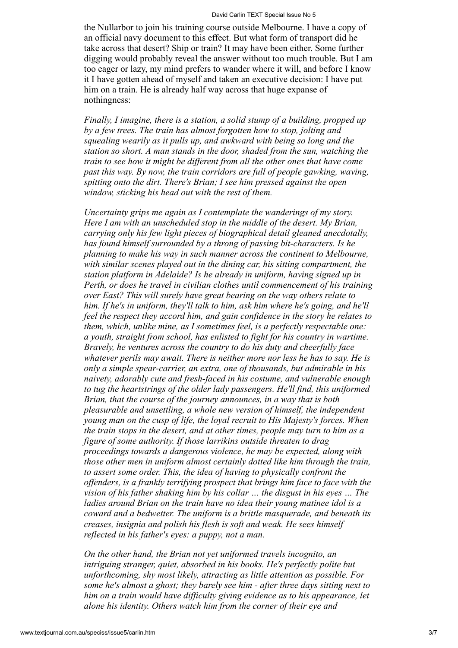the Nullarbor to join his training course outside Melbourne. I have a copy of an official navy document to this effect. But what form of transport did he take across that desert? Ship or train? It may have been either. Some further digging would probably reveal the answer without too much trouble. But I am too eager or lazy, my mind prefers to wander where it will, and before I know it I have gotten ahead of myself and taken an executive decision: I have put him on a train. He is already half way across that huge expanse of nothingness:

*Finally, I imagine, there is a station, a solid stump of a building, propped up by a few trees. The train has almost forgotten how to stop, jolting and squealing wearily as it pulls up, and awkward with being so long and the station so short. A man stands in the door, shaded from the sun, watching the train to see how it might be different from all the other ones that have come past this way. By now, the train corridors are full of people gawking, waving, spitting onto the dirt. There's Brian; I see him pressed against the open window, sticking his head out with the rest of them.*

*Uncertainty grips me again as I contemplate the wanderings of my story. Here I am with an unscheduled stop in the middle of the desert. My Brian, carrying only his few light pieces of biographical detail gleaned anecdotally, has found himself surrounded by a throng of passing bit-characters. Is he planning to make his way in such manner across the continent to Melbourne, with similar scenes played out in the dining car, his sitting compartment, the station platform in Adelaide? Is he already in uniform, having signed up in Perth, or does he travel in civilian clothes until commencement of his training over East? This will surely have great bearing on the way others relate to him. If he's in uniform, they'll talk to him, ask him where he's going, and he'll feel the respect they accord him, and gain confidence in the story he relates to them, which, unlike mine, as I sometimes feel, is a perfectly respectable one: a youth, straight from school, has enlisted to fight for his country in wartime. Bravely, he ventures across the country to do his duty and cheerfully face whatever perils may await. There is neither more nor less he has to say. He is only a simple spear-carrier, an extra, one of thousands, but admirable in his naivety, adorably cute and fresh-faced in his costume, and vulnerable enough to tug the heartstrings of the older lady passengers. He'll find, this uniformed Brian, that the course of the journey announces, in a way that is both pleasurable and unsettling, a whole new version of himself, the independent young man on the cusp of life, the loyal recruit to His Majesty's forces. When the train stops in the desert, and at other times, people may turn to him as a figure of some authority. If those larrikins outside threaten to drag proceedings towards a dangerous violence, he may be expected, along with those other men in uniform almost certainly dotted like him through the train, to assert some order. This, the idea of having to physically confront the offenders, is a frankly terrifying prospect that brings him face to face with the vision of his father shaking him by his collar … the disgust in his eyes … The ladies around Brian on the train have no idea their young matinee idol is a coward and a bedwetter. The uniform is a brittle masquerade, and beneath its creases, insignia and polish his flesh is soft and weak. He sees himself reflected in his father's eyes: a puppy, not a man.*

*On the other hand, the Brian not yet uniformed travels incognito, an intriguing stranger, quiet, absorbed in his books. He's perfectly polite but unforthcoming, shy most likely, attracting as little attention as possible. For some he's almost a ghost; they barely see him - after three days sitting next to him on a train would have difficulty giving evidence as to his appearance, let alone his identity. Others watch him from the corner of their eye and*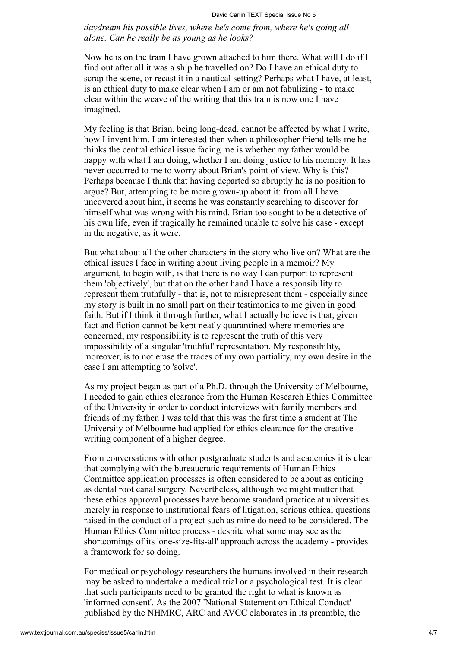*daydream his possible lives, where he's come from, where he's going all alone. Can he really be as young as he looks?*

Now he is on the train I have grown attached to him there. What will I do if I find out after all it was a ship he travelled on? Do I have an ethical duty to scrap the scene, or recast it in a nautical setting? Perhaps what I have, at least, is an ethical duty to make clear when I am or am not fabulizing - to make clear within the weave of the writing that this train is now one I have imagined.

My feeling is that Brian, being long-dead, cannot be affected by what I write, how I invent him. I am interested then when a philosopher friend tells me he thinks the central ethical issue facing me is whether my father would be happy with what I am doing, whether I am doing justice to his memory. It has never occurred to me to worry about Brian's point of view. Why is this? Perhaps because I think that having departed so abruptly he is no position to argue? But, attempting to be more grown-up about it: from all I have uncovered about him, it seems he was constantly searching to discover for himself what was wrong with his mind. Brian too sought to be a detective of his own life, even if tragically he remained unable to solve his case - except in the negative, as it were.

But what about all the other characters in the story who live on? What are the ethical issues I face in writing about living people in a memoir? My argument, to begin with, is that there is no way I can purport to represent them 'objectively', but that on the other hand I have a responsibility to represent them truthfully - that is, not to misrepresent them - especially since my story is built in no small part on their testimonies to me given in good faith. But if I think it through further, what I actually believe is that, given fact and fiction cannot be kept neatly quarantined where memories are concerned, my responsibility is to represent the truth of this very impossibility of a singular 'truthful' representation. My responsibility, moreover, is to not erase the traces of my own partiality, my own desire in the case I am attempting to 'solve'.

As my project began as part of a Ph.D. through the University of Melbourne, I needed to gain ethics clearance from the Human Research Ethics Committee of the University in order to conduct interviews with family members and friends of my father. I was told that this was the first time a student at The University of Melbourne had applied for ethics clearance for the creative writing component of a higher degree.

From conversations with other postgraduate students and academics it is clear that complying with the bureaucratic requirements of Human Ethics Committee application processes is often considered to be about as enticing as dental root canal surgery. Nevertheless, although we might mutter that these ethics approval processes have become standard practice at universities merely in response to institutional fears of litigation, serious ethical questions raised in the conduct of a project such as mine do need to be considered. The Human Ethics Committee process - despite what some may see as the shortcomings of its 'one-size-fits-all' approach across the academy - provides a framework for so doing.

<span id="page-3-0"></span>For medical or psychology researchers the humans involved in their research may be asked to undertake a medical trial or a psychological test. It is clear that such participants need to be granted the right to what is known as 'informed consent'. As the 2007 'National Statement on Ethical Conduct' published by the [NHMRC, ARC and AVCC](#page-6-6) elaborates in its preamble, the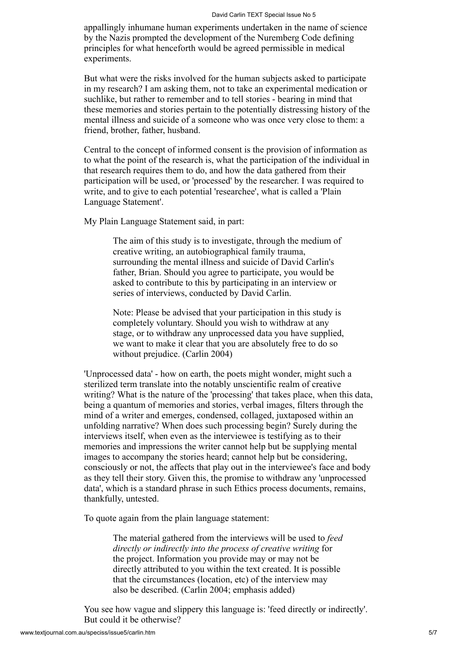#### David Carlin TEXT Special Issue No 5

appallingly inhumane human experiments undertaken in the name of science by the Nazis prompted the development of the Nuremberg Code defining principles for what henceforth would be agreed permissible in medical experiments.

But what were the risks involved for the human subjects asked to participate in my research? I am asking them, not to take an experimental medication or suchlike, but rather to remember and to tell stories - bearing in mind that these memories and stories pertain to the potentially distressing history of the mental illness and suicide of a someone who was once very close to them: a friend, brother, father, husband.

Central to the concept of informed consent is the provision of information as to what the point of the research is, what the participation of the individual in that research requires them to do, and how the data gathered from their participation will be used, or 'processed' by the researcher. I was required to write, and to give to each potential 'researchee', what is called a 'Plain Language Statement'.

My Plain Language Statement said, in part:

The aim of this study is to investigate, through the medium of creative writing, an autobiographical family trauma, surrounding the mental illness and suicide of David Carlin's father, Brian. Should you agree to participate, you would be asked to contribute to this by participating in an interview or series of interviews, conducted by David Carlin.

<span id="page-4-0"></span>Note: Please be advised that your participation in this study is completely voluntary. Should you wish to withdraw at any stage, or to withdraw any unprocessed data you have supplied, we want to make it clear that you are absolutely free to do so without prejudice. [\(Carlin 2004](#page-6-7))

'Unprocessed data' - how on earth, the poets might wonder, might such a sterilized term translate into the notably unscientific realm of creative writing? What is the nature of the 'processing' that takes place, when this data, being a quantum of memories and stories, verbal images, filters through the mind of a writer and emerges, condensed, collaged, juxtaposed within an unfolding narrative? When does such processing begin? Surely during the interviews itself, when even as the interviewee is testifying as to their memories and impressions the writer cannot help but be supplying mental images to accompany the stories heard; cannot help but be considering, consciously or not, the affects that play out in the interviewee's face and body as they tell their story. Given this, the promise to withdraw any 'unprocessed data', which is a standard phrase in such Ethics process documents, remains, thankfully, untested.

To quote again from the plain language statement:

The material gathered from the interviews will be used to *feed directly or indirectly into the process of creative writing* for the project. Information you provide may or may not be directly attributed to you within the text created. It is possible that the circumstances (location, etc) of the interview may also be described. (Carlin 2004; emphasis added)

You see how vague and slippery this language is: 'feed directly or indirectly'. But could it be otherwise?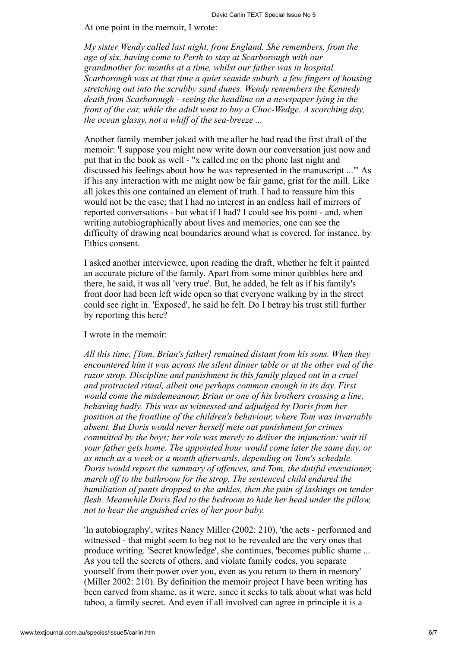At one point in the memoir, I wrote:

*My sister Wendy called last night, from England. She remembers, from the age of six, having come to Perth to stay at Scarborough with our grandmother for months at a time, whilst our father was in hospital. Scarborough was at that time a quiet seaside suburb, a few fingers of housing stretching out into the scrubby sand dunes. Wendy remembers the Kennedy death from Scarborough - seeing the headline on a newspaper lying in the front of the car, while the adult went to buy a Choc-Wedge. A scorching day, the ocean glassy, not a whiff of the sea-breeze ...*

Another family member joked with me after he had read the first draft of the memoir: 'I suppose you might now write down our conversation just now and put that in the book as well - "x called me on the phone last night and discussed his feelings about how he was represented in the manuscript ..."' As if his any interaction with me might now be fair game, grist for the mill. Like all jokes this one contained an element of truth. I had to reassure him this would not be the case; that I had no interest in an endless hall of mirrors of reported conversations - but what if I had? I could see his point - and, when writing autobiographically about lives and memories, one can see the difficulty of drawing neat boundaries around what is covered, for instance, by Ethics consent.

I asked another interviewee, upon reading the draft, whether he felt it painted an accurate picture of the family. Apart from some minor quibbles here and there, he said, it was all 'very true'. But, he added, he felt as if his family's front door had been left wide open so that everyone walking by in the street could see right in. 'Exposed', he said he felt. Do I betray his trust still further by reporting this here?

### I wrote in the memoir:

*All this time, [Tom, Brian's father] remained distant from his sons. When they encountered him it was across the silent dinner table or at the other end of the razor strop. Discipline and punishment in this family played out in a cruel and protracted ritual, albeit one perhaps common enough in its day. First would come the misdemeanour, Brian or one of his brothers crossing a line, behaving badly. This was as witnessed and adjudged by Doris from her position at the frontline of the children's behaviour, where Tom was invariably absent. But Doris would never herself mete out punishment for crimes committed by the boys; her role was merely to deliver the injunction: wait til your father gets home. The appointed hour would come later the same day, or as much as a week or a month afterwards, depending on Tom's schedule. Doris would report the summary of offences, and Tom, the dutiful executioner, march off to the bathroom for the strop. The sentenced child endured the humiliation of pants dropped to the ankles, then the pain of lashings on tender flesh. Meanwhile Doris fled to the bedroom to hide her head under the pillow, not to hear the anguished cries of her poor baby.*

<span id="page-5-0"></span>'In autobiography', writes [Nancy Miller \(2002: 210\),](#page-6-8) 'the acts - performed and witnessed - that might seem to beg not to be revealed are the very ones that produce writing. 'Secret knowledge', she continues, 'becomes public shame ... As you tell the secrets of others, and violate family codes, you separate yourself from their power over you, even as you return to them in memory' (Miller 2002: 210). By definition the memoir project I have been writing has been carved from shame, as it were, since it seeks to talk about what was held taboo, a family secret. And even if all involved can agree in principle it is a